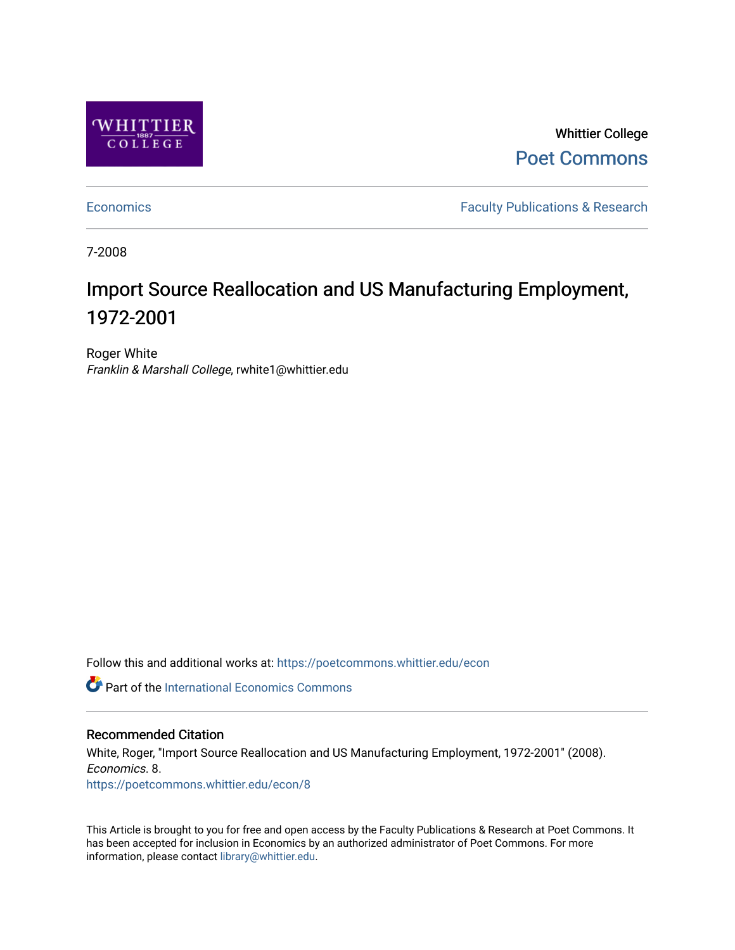

Whittier College [Poet Commons](https://poetcommons.whittier.edu/) 

[Economics](https://poetcommons.whittier.edu/econ) **Faculty Publications & Research** 

7-2008

# Import Source Reallocation and US Manufacturing Employment, 1972-2001

Roger White Franklin & Marshall College, rwhite1@whittier.edu

Follow this and additional works at: [https://poetcommons.whittier.edu/econ](https://poetcommons.whittier.edu/econ?utm_source=poetcommons.whittier.edu%2Fecon%2F8&utm_medium=PDF&utm_campaign=PDFCoverPages)

**C** Part of the International Economics Commons

## Recommended Citation

White, Roger, "Import Source Reallocation and US Manufacturing Employment, 1972-2001" (2008). Economics. 8. [https://poetcommons.whittier.edu/econ/8](https://poetcommons.whittier.edu/econ/8?utm_source=poetcommons.whittier.edu%2Fecon%2F8&utm_medium=PDF&utm_campaign=PDFCoverPages) 

This Article is brought to you for free and open access by the Faculty Publications & Research at Poet Commons. It has been accepted for inclusion in Economics by an authorized administrator of Poet Commons. For more information, please contact [library@whittier.edu.](mailto:library@whittier.edu)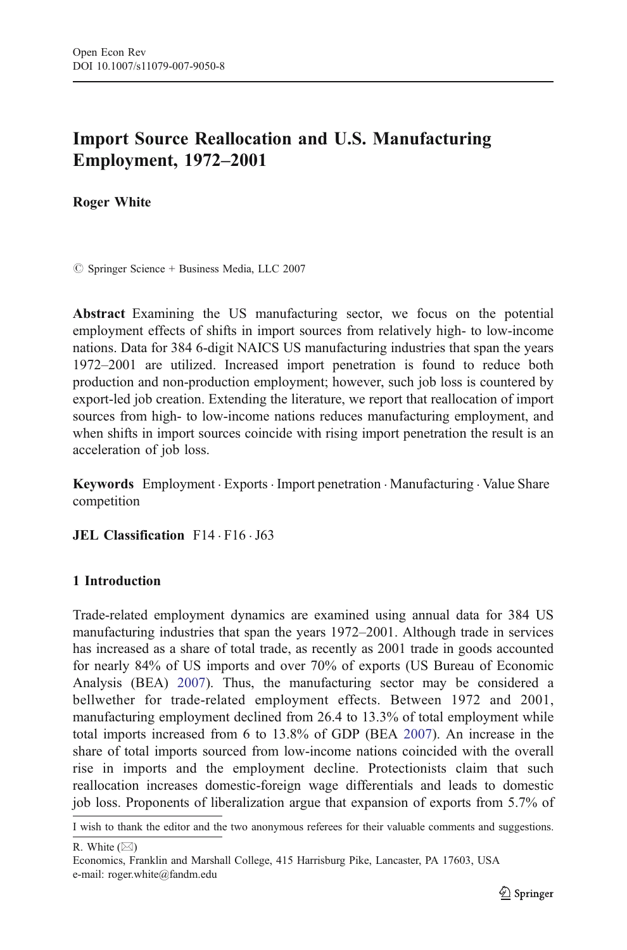# Import Source Reallocation and U.S. Manufacturing Employment, 1972*–*2001

Roger White

 $\oslash$  Springer Science + Business Media, LLC 2007

Abstract Examining the US manufacturing sector, we focus on the potential employment effects of shifts in import sources from relatively high- to low-income nations. Data for 384 6-digit NAICS US manufacturing industries that span the years 1972–2001 are utilized. Increased import penetration is found to reduce both production and non-production employment; however, such job loss is countered by export-led job creation. Extending the literature, we report that reallocation of import sources from high- to low-income nations reduces manufacturing employment, and when shifts in import sources coincide with rising import penetration the result is an acceleration of job loss.

Keywords Employment . Exports . Import penetration . Manufacturing . Value Share competition

JEL Classification F14 . F16 . J63

### 1 Introduction

Trade-related employment dynamics are examined using annual data for 384 US manufacturing industries that span the years 1972–2001. Although trade in services has increased as a share of total trade, as recently as 2001 trade in goods accounted for nearly 84% of US imports and over 70% of exports (US Bureau of Economic Analysis (BEA) [2007](#page-8-0)). Thus, the manufacturing sector may be considered a bellwether for trade-related employment effects. Between 1972 and 2001, manufacturing employment declined from 26.4 to 13.3% of total employment while total imports increased from 6 to 13.8% of GDP (BEA [2007](#page-8-0)). An increase in the share of total imports sourced from low-income nations coincided with the overall rise in imports and the employment decline. Protectionists claim that such reallocation increases domestic-foreign wage differentials and leads to domestic job loss. Proponents of liberalization argue that expansion of exports from 5.7% of

I wish to thank the editor and the two anonymous referees for their valuable comments and suggestions.

R. White  $(\boxtimes)$ 

Economics, Franklin and Marshall College, 415 Harrisburg Pike, Lancaster, PA 17603, USA e-mail: roger.white@fandm.edu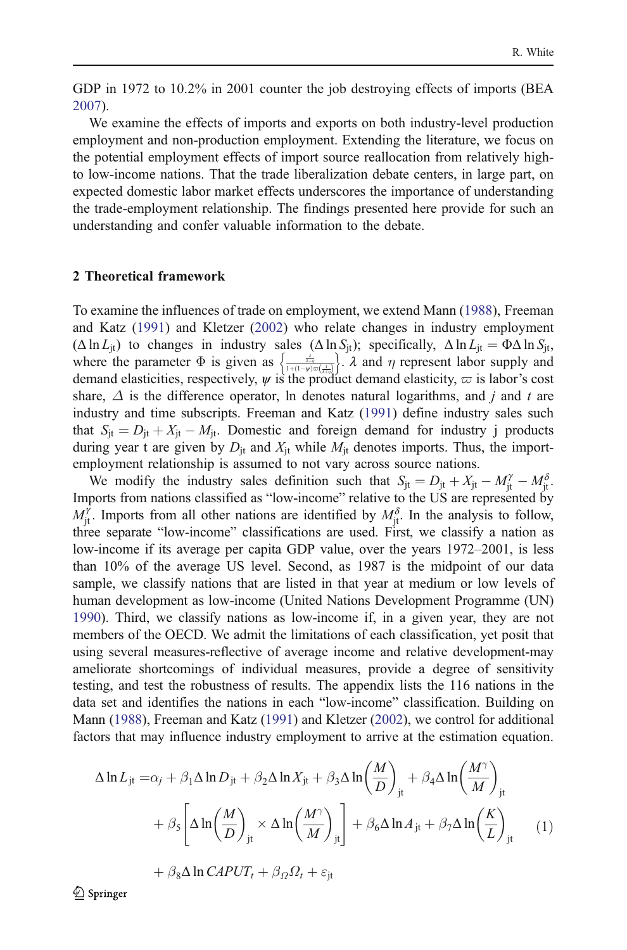<span id="page-2-0"></span>GDP in 1972 to 10.2% in 2001 counter the job destroying effects of imports (BEA [2007\)](#page-8-0).

We examine the effects of imports and exports on both industry-level production employment and non-production employment. Extending the literature, we focus on the potential employment effects of import source reallocation from relatively highto low-income nations. That the trade liberalization debate centers, in large part, on expected domestic labor market effects underscores the importance of understanding the trade-employment relationship. The findings presented here provide for such an understanding and confer valuable information to the debate.

#### 2 Theoretical framework

To examine the influences of trade on employment, we extend Mann [\(1988](#page-8-0)), Freeman and Katz ([1991\)](#page-8-0) and Kletzer ([2002\)](#page-8-0) who relate changes in industry employment  $(\Delta \ln L_{it})$  to changes in industry sales  $(\Delta \ln S_{it})$ ; specifically,  $\Delta \ln L_{it} = \Phi \Delta \ln S_{it}$ , where the parameter  $\Phi$  is given as  $\frac{\frac{3}{\lambda+\eta}}{1+(1-\psi)\varpi(\frac{1}{\lambda+\eta})}$  $\left\{\frac{\frac{\lambda}{\lambda+\eta}}{1+(1-w)\pi(\lambda)}\right\}$ .  $\lambda$  and  $\eta$  represent labor supply and demand elasticities, respectively,  $\psi$  is the product demand elasticity,  $\varpi$  is labor's cost share,  $\Delta$  is the difference operator, ln denotes natural logarithms, and j and t are industry and time subscripts. Freeman and Katz [\(1991](#page-8-0)) define industry sales such that  $S_{it} = D_{it} + X_{it} - M_{it}$ . Domestic and foreign demand for industry j products during year t are given by  $D_{it}$  and  $X_{it}$  while  $M_{it}$  denotes imports. Thus, the importemployment relationship is assumed to not vary across source nations.

We modify the industry sales definition such that  $S_{jt} = D_{jt} + X_{jt} - M_{jt}^{\gamma} - M_{jt}^{\delta}$ . Imports from nations classified as "low-income" relative to the US are represented by  $M_{jt}^{\gamma}$ . Imports from all other nations are identified by  $M_{jt}^{\delta}$ . In the analysis to follow, three separate "low-income" classifications are used. First, we classify a nation as low-income if its average per capita GDP value, over the years 1972–2001, is less than 10% of the average US level. Second, as 1987 is the midpoint of our data sample, we classify nations that are listed in that year at medium or low levels of human development as low-income (United Nations Development Programme (UN) [1990\)](#page-8-0). Third, we classify nations as low-income if, in a given year, they are not members of the OECD. We admit the limitations of each classification, yet posit that using several measures-reflective of average income and relative development-may ameliorate shortcomings of individual measures, provide a degree of sensitivity testing, and test the robustness of results. The appendix lists the 116 nations in the data set and identifies the nations in each "low-income" classification. Building on Mann ([1988\)](#page-8-0), Freeman and Katz ([1991\)](#page-8-0) and Kletzer ([2002\)](#page-8-0), we control for additional factors that may influence industry employment to arrive at the estimation equation.

$$
\Delta \ln L_{jt} = \alpha_j + \beta_1 \Delta \ln D_{jt} + \beta_2 \Delta \ln X_{jt} + \beta_3 \Delta \ln \left(\frac{M}{D}\right)_{jt} + \beta_4 \Delta \ln \left(\frac{M^{\gamma}}{M}\right)_{jt}
$$

$$
+ \beta_5 \left[ \Delta \ln \left(\frac{M}{D}\right)_{jt} \times \Delta \ln \left(\frac{M^{\gamma}}{M}\right)_{jt} \right] + \beta_6 \Delta \ln A_{jt} + \beta_7 \Delta \ln \left(\frac{K}{L}\right)_{jt} \tag{1}
$$

$$
+\beta_8\Delta\ln\mathit{CAPUT}_t + \beta_\Omega\Omega_t + \varepsilon_{\rm jt}
$$

 $\textcircled{2}$  Springer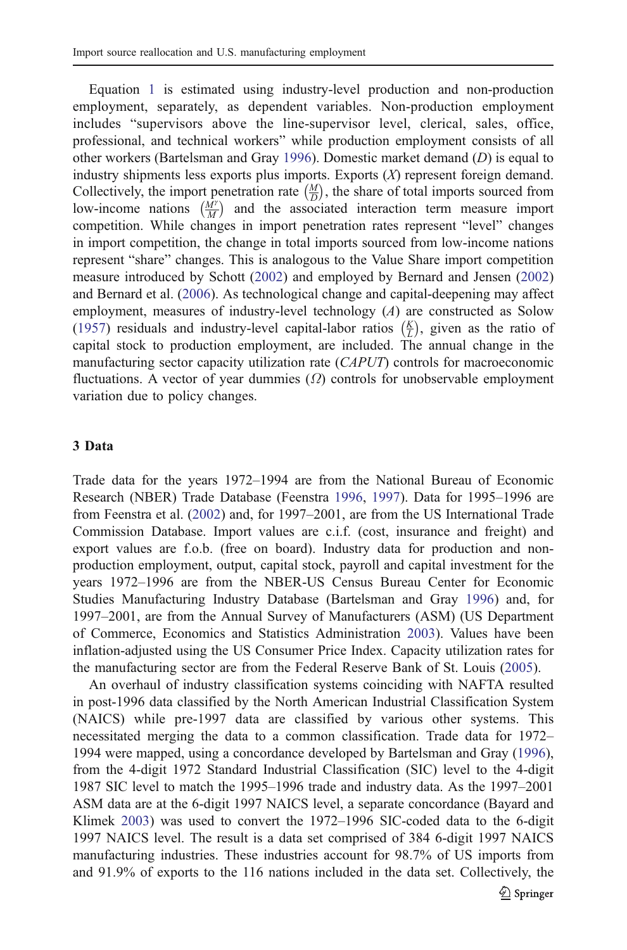Equation [1](#page-2-0) is estimated using industry-level production and non-production employment, separately, as dependent variables. Non-production employment includes "supervisors above the line-supervisor level, clerical, sales, office, professional, and technical workers" while production employment consists of all other workers (Bartelsman and Gray [1996](#page-7-0)). Domestic market demand (D) is equal to industry shipments less exports plus imports. Exports (X) represent foreign demand. Collectively, the import penetration rate  $\left(\frac{M}{D}\right)$ , the share of total imports sourced from low-income nations  $\left(\frac{M\gamma}{M}\right)$  and the associated interaction term measure import competition. While changes in import penetration rates represent "level" changes in import competition, the change in total imports sourced from low-income nations represent "share" changes. This is analogous to the Value Share import competition measure introduced by Schott ([2002](#page-8-0)) and employed by Bernard and Jensen [\(2002](#page-7-0)) and Bernard et al. ([2006\)](#page-8-0). As technological change and capital-deepening may affect employment, measures of industry-level technology (A) are constructed as Solow [\(1957](#page-8-0)) residuals and industry-level capital-labor ratios  $(\frac{K}{L})$ , given as the ratio of capital stock to production employment, are included. The annual change in the manufacturing sector capacity utilization rate (CAPUT) controls for macroeconomic fluctuations. A vector of year dummies  $(\Omega)$  controls for unobservable employment variation due to policy changes.

#### 3 Data

Trade data for the years 1972–1994 are from the National Bureau of Economic Research (NBER) Trade Database (Feenstra [1996](#page-8-0), [1997\)](#page-8-0). Data for 1995–1996 are from Feenstra et al. ([2002\)](#page-8-0) and, for 1997–2001, are from the US International Trade Commission Database. Import values are c.i.f. (cost, insurance and freight) and export values are f.o.b. (free on board). Industry data for production and nonproduction employment, output, capital stock, payroll and capital investment for the years 1972–1996 are from the NBER-US Census Bureau Center for Economic Studies Manufacturing Industry Database (Bartelsman and Gray [1996\)](#page-7-0) and, for 1997–2001, are from the Annual Survey of Manufacturers (ASM) (US Department of Commerce, Economics and Statistics Administration [2003](#page-8-0)). Values have been inflation-adjusted using the US Consumer Price Index. Capacity utilization rates for the manufacturing sector are from the Federal Reserve Bank of St. Louis ([2005\)](#page-8-0).

An overhaul of industry classification systems coinciding with NAFTA resulted in post-1996 data classified by the North American Industrial Classification System (NAICS) while pre-1997 data are classified by various other systems. This necessitated merging the data to a common classification. Trade data for 1972– 1994 were mapped, using a concordance developed by Bartelsman and Gray ([1996\)](#page-7-0), from the 4-digit 1972 Standard Industrial Classification (SIC) level to the 4-digit 1987 SIC level to match the 1995–1996 trade and industry data. As the 1997–2001 ASM data are at the 6-digit 1997 NAICS level, a separate concordance (Bayard and Klimek [2003\)](#page-7-0) was used to convert the 1972–1996 SIC-coded data to the 6-digit 1997 NAICS level. The result is a data set comprised of 384 6-digit 1997 NAICS manufacturing industries. These industries account for 98.7% of US imports from and 91.9% of exports to the 116 nations included in the data set. Collectively, the  $\bigcirc$  Springer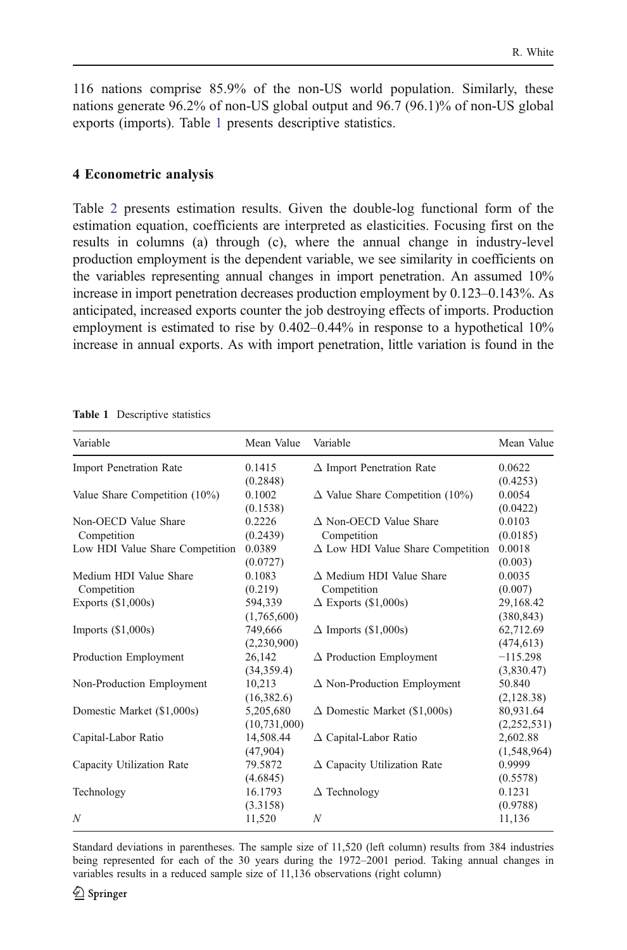116 nations comprise 85.9% of the non-US world population. Similarly, these nations generate 96.2% of non-US global output and 96.7 (96.1)% of non-US global exports (imports). Table 1 presents descriptive statistics.

#### 4 Econometric analysis

Table [2](#page-5-0) presents estimation results. Given the double-log functional form of the estimation equation, coefficients are interpreted as elasticities. Focusing first on the results in columns (a) through (c), where the annual change in industry-level production employment is the dependent variable, we see similarity in coefficients on the variables representing annual changes in import penetration. An assumed 10% increase in import penetration decreases production employment by 0.123–0.143%. As anticipated, increased exports counter the job destroying effects of imports. Production employment is estimated to rise by 0.402–0.44% in response to a hypothetical 10% increase in annual exports. As with import penetration, little variation is found in the

| Variable                        | Mean Value     | Variable                                 | Mean Value  |
|---------------------------------|----------------|------------------------------------------|-------------|
| <b>Import Penetration Rate</b>  | 0.1415         | $\Delta$ Import Penetration Rate         | 0.0622      |
|                                 | (0.2848)       |                                          | (0.4253)    |
| Value Share Competition (10%)   | 0.1002         | $\Delta$ Value Share Competition (10%)   | 0.0054      |
|                                 | (0.1538)       |                                          | (0.0422)    |
| Non-OECD Value Share            | 0.2226         | $\triangle$ Non-OECD Value Share         | 0.0103      |
| Competition                     | (0.2439)       | Competition                              | (0.0185)    |
| Low HDI Value Share Competition | 0.0389         | $\Delta$ Low HDI Value Share Competition | 0.0018      |
|                                 | (0.0727)       |                                          | (0.003)     |
| Medium HDI Value Share          | 0.1083         | $\Delta$ Medium HDI Value Share          | 0.0035      |
| Competition                     | (0.219)        | Competition                              | (0.007)     |
| Exports $(\$1,000s)$            | 594,339        | $\Delta$ Exports (\$1,000s)              | 29,168.42   |
|                                 | (1,765,600)    |                                          | (380, 843)  |
| Imports $(\$1,000s)$            | 749,666        | $\Delta$ Imports (\$1,000s)              | 62,712.69   |
|                                 | (2,230,900)    |                                          | (474, 613)  |
| Production Employment           | 26,142         | $\Delta$ Production Employment           | $-115.298$  |
|                                 | (34,359.4)     |                                          | (3,830.47)  |
| Non-Production Employment       | 10,213         | $\Delta$ Non-Production Employment       | 50.840      |
|                                 | (16,382.6)     |                                          | (2,128.38)  |
| Domestic Market (\$1,000s)      | 5,205,680      | $\Delta$ Domestic Market (\$1,000s)      | 80,931.64   |
|                                 | (10, 731, 000) |                                          | (2,252,531) |
| Capital-Labor Ratio             | 14,508.44      | $\Delta$ Capital-Labor Ratio             | 2,602.88    |
|                                 | (47,904)       |                                          | (1,548,964) |
| Capacity Utilization Rate       | 79.5872        | $\Delta$ Capacity Utilization Rate       | 0.9999      |
|                                 | (4.6845)       |                                          | (0.5578)    |
| Technology                      | 16.1793        | $\Delta$ Technology                      | 0.1231      |
|                                 | (3.3158)       |                                          | (0.9788)    |
| N                               | 11,520         | N                                        | 11,136      |

Table 1 Descriptive statistics

Standard deviations in parentheses. The sample size of 11,520 (left column) results from 384 industries being represented for each of the 30 years during the 1972–2001 period. Taking annual changes in variables results in a reduced sample size of 11,136 observations (right column)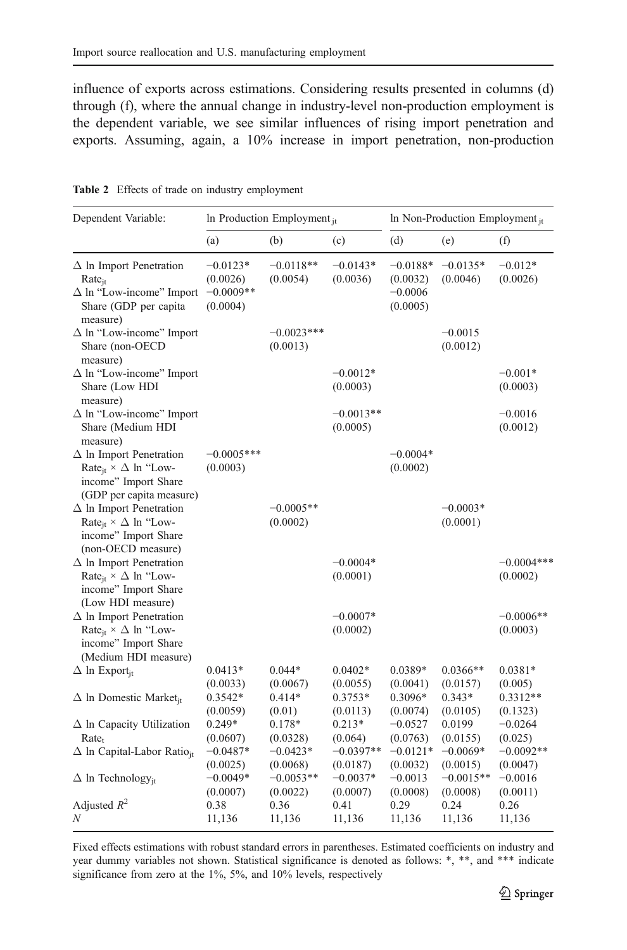<span id="page-5-0"></span>influence of exports across estimations. Considering results presented in columns (d) through (f), where the annual change in industry-level non-production employment is the dependent variable, we see similar influences of rising import penetration and exports. Assuming, again, a 10% increase in import penetration, non-production

| Dependent Variable:                                                                                                               | In Production Employment <sub>it</sub>            |                                     |                                    | In Non-Production Employment <sub>it</sub>      |                                     |                                     |
|-----------------------------------------------------------------------------------------------------------------------------------|---------------------------------------------------|-------------------------------------|------------------------------------|-------------------------------------------------|-------------------------------------|-------------------------------------|
|                                                                                                                                   | (a)                                               | (b)                                 | (c)                                | (d)                                             | (e)                                 | (f)                                 |
| $\Delta$ In Import Penetration<br>$Rate_{it}$<br>$\Delta$ ln "Low-income" Import<br>Share (GDP per capita<br>measure)             | $-0.0123*$<br>(0.0026)<br>$-0.0009**$<br>(0.0004) | $-0.0118**$<br>(0.0054)             | $-0.0143*$<br>(0.0036)             | $-0.0188*$<br>(0.0032)<br>$-0.0006$<br>(0.0005) | $-0.0135*$<br>(0.0046)              | $-0.012*$<br>(0.0026)               |
| $\Delta$ ln "Low-income" Import<br>Share (non-OECD<br>measure)                                                                    |                                                   | $-0.0023***$<br>(0.0013)            |                                    |                                                 | $-0.0015$<br>(0.0012)               |                                     |
| $\Delta$ ln "Low-income" Import<br>Share (Low HDI<br>measure)                                                                     |                                                   |                                     | $-0.0012*$<br>(0.0003)             |                                                 |                                     | $-0.001*$<br>(0.0003)               |
| $\Delta$ ln "Low-income" Import<br>Share (Medium HDI<br>measure)                                                                  |                                                   |                                     | $-0.0013**$<br>(0.0005)            |                                                 |                                     | $-0.0016$<br>(0.0012)               |
| $\Delta$ In Import Penetration<br>Rate <sub>jt</sub> $\times \Delta$ ln "Low-<br>income" Import Share<br>(GDP per capita measure) | $-0.0005***$<br>(0.0003)                          |                                     |                                    | $-0.0004*$<br>(0.0002)                          |                                     |                                     |
| $\Delta$ In Import Penetration<br>Rate <sub>it</sub> $\times \Delta$ ln "Low-<br>income" Import Share<br>(non-OECD measure)       |                                                   | $-0.0005**$<br>(0.0002)             |                                    |                                                 | $-0.0003*$<br>(0.0001)              |                                     |
| $\Delta$ In Import Penetration<br>Rate <sub>jt</sub> $\times \Delta$ ln "Low-<br>income" Import Share<br>(Low HDI measure)        |                                                   |                                     | $-0.0004*$<br>(0.0001)             |                                                 |                                     | $-0.0004***$<br>(0.0002)            |
| $\Delta$ In Import Penetration<br>Rate <sub>it</sub> $\times \Delta$ ln "Low-<br>income" Import Share<br>(Medium HDI measure)     |                                                   |                                     | $-0.0007*$<br>(0.0002)             |                                                 |                                     | $-0.0006**$<br>(0.0003)             |
| $\Delta$ ln Export <sub>it</sub>                                                                                                  | $0.0413*$<br>(0.0033)                             | $0.044*$<br>(0.0067)                | $0.0402*$<br>(0.0055)              | 0.0389*<br>(0.0041)                             | $0.0366**$<br>(0.0157)              | $0.0381*$<br>(0.005)                |
| $\Delta$ In Domestic Market <sub>it</sub>                                                                                         | $0.3542*$<br>(0.0059)                             | $0.414*$<br>(0.01)                  | $0.3753*$<br>(0.0113)              | $0.3096*$<br>(0.0074)                           | $0.343*$<br>(0.0105)                | $0.3312**$<br>(0.1323)              |
| $\Delta$ ln Capacity Utilization<br>Rate <sub>t</sub><br>$\Delta$ ln Capital-Labor Ratio <sub>it</sub>                            | $0.249*$<br>(0.0607)<br>$-0.0487*$                | $0.178*$<br>(0.0328)<br>$-0.0423*$  | $0.213*$<br>(0.064)<br>$-0.0397**$ | $-0.0527$<br>(0.0763)<br>$-0.0121*$             | 0.0199<br>(0.0155)<br>$-0.0069*$    | $-0.0264$<br>(0.025)<br>$-0.0092**$ |
| $\Delta$ ln Technology <sub>it</sub>                                                                                              | (0.0025)<br>$-0.0049*$<br>(0.0007)                | (0.0068)<br>$-0.0053**$<br>(0.0022) | (0.0187)<br>$-0.0037*$<br>(0.0007) | (0.0032)<br>$-0.0013$<br>(0.0008)               | (0.0015)<br>$-0.0015**$<br>(0.0008) | (0.0047)<br>$-0.0016$<br>(0.0011)   |
| Adjusted $R^2$<br>N                                                                                                               | 0.38<br>11,136                                    | 0.36<br>11,136                      | 0.41<br>11,136                     | 0.29<br>11,136                                  | 0.24<br>11,136                      | 0.26<br>11,136                      |

Table 2 Effects of trade on industry employment

Fixed effects estimations with robust standard errors in parentheses. Estimated coefficients on industry and year dummy variables not shown. Statistical significance is denoted as follows: \*, \*\*, and \*\*\* indicate significance from zero at the 1%, 5%, and 10% levels, respectively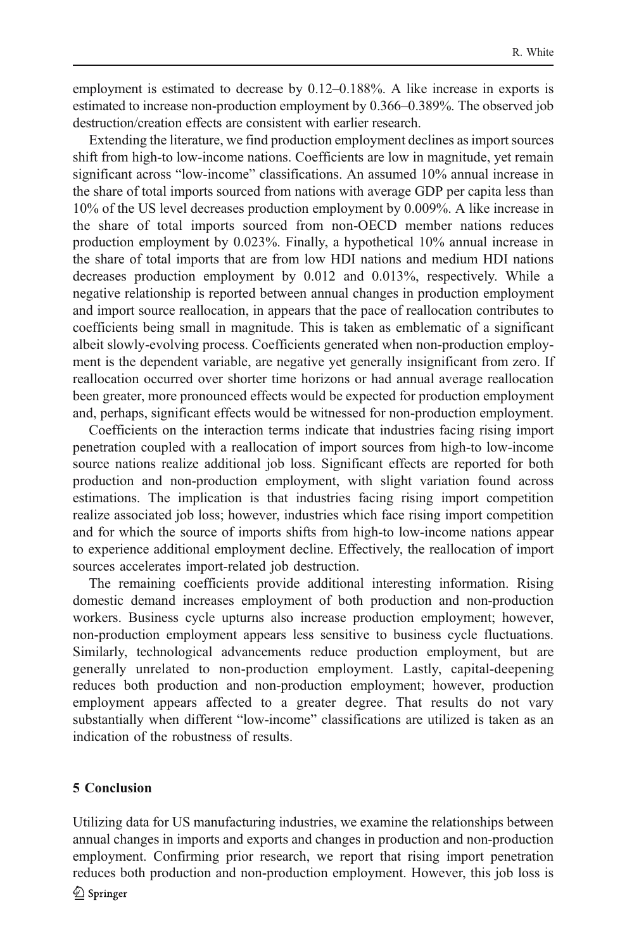employment is estimated to decrease by 0.12–0.188%. A like increase in exports is estimated to increase non-production employment by 0.366–0.389%. The observed job destruction/creation effects are consistent with earlier research.

Extending the literature, we find production employment declines as import sources shift from high-to low-income nations. Coefficients are low in magnitude, yet remain significant across "low-income" classifications. An assumed 10% annual increase in the share of total imports sourced from nations with average GDP per capita less than 10% of the US level decreases production employment by 0.009%. A like increase in the share of total imports sourced from non-OECD member nations reduces production employment by 0.023%. Finally, a hypothetical 10% annual increase in the share of total imports that are from low HDI nations and medium HDI nations decreases production employment by 0.012 and 0.013%, respectively. While a negative relationship is reported between annual changes in production employment and import source reallocation, in appears that the pace of reallocation contributes to coefficients being small in magnitude. This is taken as emblematic of a significant albeit slowly-evolving process. Coefficients generated when non-production employment is the dependent variable, are negative yet generally insignificant from zero. If reallocation occurred over shorter time horizons or had annual average reallocation been greater, more pronounced effects would be expected for production employment and, perhaps, significant effects would be witnessed for non-production employment.

Coefficients on the interaction terms indicate that industries facing rising import penetration coupled with a reallocation of import sources from high-to low-income source nations realize additional job loss. Significant effects are reported for both production and non-production employment, with slight variation found across estimations. The implication is that industries facing rising import competition realize associated job loss; however, industries which face rising import competition and for which the source of imports shifts from high-to low-income nations appear to experience additional employment decline. Effectively, the reallocation of import sources accelerates import-related job destruction.

The remaining coefficients provide additional interesting information. Rising domestic demand increases employment of both production and non-production workers. Business cycle upturns also increase production employment; however, non-production employment appears less sensitive to business cycle fluctuations. Similarly, technological advancements reduce production employment, but are generally unrelated to non-production employment. Lastly, capital-deepening reduces both production and non-production employment; however, production employment appears affected to a greater degree. That results do not vary substantially when different "low-income" classifications are utilized is taken as an indication of the robustness of results.

#### 5 Conclusion

Utilizing data for US manufacturing industries, we examine the relationships between annual changes in imports and exports and changes in production and non-production employment. Confirming prior research, we report that rising import penetration reduces both production and non-production employment. However, this job loss is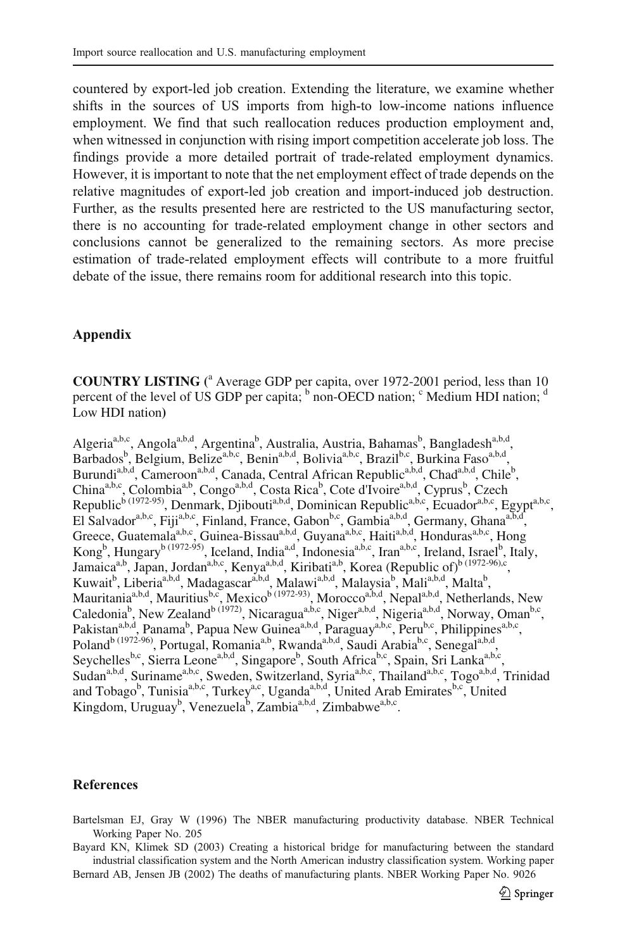<span id="page-7-0"></span>countered by export-led job creation. Extending the literature, we examine whether shifts in the sources of US imports from high-to low-income nations influence employment. We find that such reallocation reduces production employment and, when witnessed in conjunction with rising import competition accelerate job loss. The findings provide a more detailed portrait of trade-related employment dynamics. However, it is important to note that the net employment effect of trade depends on the relative magnitudes of export-led job creation and import-induced job destruction. Further, as the results presented here are restricted to the US manufacturing sector, there is no accounting for trade-related employment change in other sectors and conclusions cannot be generalized to the remaining sectors. As more precise estimation of trade-related employment effects will contribute to a more fruitful debate of the issue, there remains room for additional research into this topic.

### Appendix

**COUNTRY LISTING** (<sup>a</sup> Average GDP per capita, over 1972-2001 period, less than 10 percent of the level of US GDP per capita;  $\frac{b}{c}$  non-OECD nation;  $\frac{c}{c}$  Medium HDI nation;  $\frac{d}{c}$ Low HDI nation**)**

Algeria<sup>a,b,c</sup>, Angola<sup>a,b,d</sup>, Argentina<sup>b</sup>, Australia, Austria, Bahamas<sup>b</sup>, Bangladesh<sup>a,b,d</sup>, Barbados<sup>b</sup>, Belgium, Belize<sup>a,b,c</sup>, Benin<sup>a,b,d</sup>, Bolivia<sup>a,b,c</sup>, Brazil<sup>b,c</sup>, Burkina Faso<sup>a,b,d</sup>, Burundi<sup>a,b,d</sup>, Cameroon<sup>a,b,d</sup>, Canada, Central African Republic<sup>a,b,d</sup>, Chad<sup>a,b,d</sup>, Chile<sup>b</sup>, China<sup>a,b,c</sup>, Colombia<sup>a,b</sup>, Congo<sup>a,b,d</sup>, Costa Rica<sup>b</sup>, Cote d'Ivoire<sup>a,b,d</sup>, Cyprus<sup>b</sup>, Czech Republic<sup>b (1972-95)</sup>, Denmark, Djibouti<sup>a,b,d</sup>, Dominican Republic<sup>a,b,c</sup>, Ecuador<sup>a,b,c</sup>, Egypt<sup>a,b,c</sup>, El Salvador<sup>a,b,c</sup>, Fiji<sup>a,b,c</sup>, Finland, France, Gabon<sup>b,c</sup>, Gambia<sup>a,b,d</sup>, Germany, Ghana<sup>a,b,d</sup>, Greece, Guatemala<sup>a,b,c</sup>, Guinea-Bissau<sup>a,b,d</sup>, Guyana<sup>a,b,c</sup>, Haiti<sup>a,b,d</sup>, Honduras<sup>a,b,c</sup>, Hong Kong<sup>b</sup>, Hungary<sup>b (1972-95)</sup>, Iceland, India<sup>a,d</sup>, Indonesia<sup>a,b,c</sup>, Iran<sup>a,b,c</sup>, Ireland, Israel<sup>b</sup>, Italy, Jamaica<sup>a,b</sup>, Japan, Jordan<sup>a,b,c</sup>, Kenya<sup>a,b,d</sup>, Kiribati<sup>a,b</sup>, Korea (Republic of)<sup>b (1972-96),c</sup>, Kuwait<sup>b</sup>, Liberia<sup>a,b,d</sup>, Madagascar<sup>a,b,d</sup>, Malawi<sup>a,b,d</sup>, Malaysia<sup>b</sup>, Mali<sup>a,b,d</sup>, Malta<sup>b</sup>, Mauritania<sup>a,b,d</sup>, Mauritius<sup>b,c</sup>, Mexico<sup>b (1972-93)</sup>, Morocco<sup>a,b,d</sup>, Nepal<sup>a,b,d</sup>, Netherlands, New Caledonia<sup>b</sup>, New Zealand<sup>b (1972)</sup>, Nicaragua<sup>a,b,c</sup>, Niger<sup>a,b,d</sup>, Nigeria<sup>a,b,d</sup>, Norway, Oman<sup>b,c</sup>, Pakistan<sup>a,b,d</sup>, Panama<sup>b</sup>, Papua New Guinea<sup>a,b,d</sup>, Paraguay<sup>a,b,c</sup>, Peru<sup>b,c</sup>, Philippines<sup>a,b,c</sup>, Poland<sup>b (1972-96)</sup>, Portugal, Romania<sup>a,b</sup>, Rwanda<sup>a,b,d</sup>, Saudi Arabia<sup>b,c</sup>, Senegal<sup>a,b,d</sup>, Seychelles<sup>b,c</sup>, Sierra Leone<sup>a,b,d</sup>, Singapore<sup>b</sup>, South Africa<sup>b,c</sup>, Spain, Sri Lanka<sup>a,b,c</sup>, Sudan<sup>a,b,d</sup>, Suriname<sup>a,b,c</sup>, Sweden, Switzerland, Syria<sup>a,b,c</sup>, Thailand<sup>a,b,c</sup>, Togo<sup>a,b,d</sup>, Trinidad and Tobago<sup>b</sup>, Tunisia<sup>a,b,c</sup>, Turkey<sup>a,c</sup>, Uganda<sup>a,b,d</sup>, United Arab Emirates<sup>b,c</sup>, United Kingdom, Uruguay<sup>b</sup>, Venezuela<sup>b</sup>, Zambia<sup>a,b,d</sup>, Zimbabwe<sup>a,b,c</sup>.

#### References

Bartelsman EJ, Gray W (1996) The NBER manufacturing productivity database. NBER Technical Working Paper No. 205

Bayard KN, Klimek SD (2003) Creating a historical bridge for manufacturing between the standard industrial classification system and the North American industry classification system. Working paper

Bernard AB, Jensen JB (2002) The deaths of manufacturing plants. NBER Working Paper No. 9026